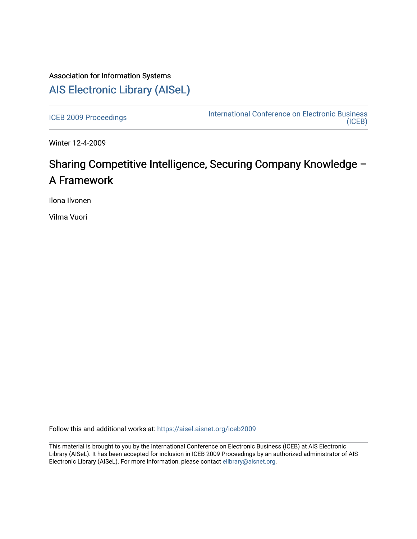# Association for Information Systems [AIS Electronic Library \(AISeL\)](https://aisel.aisnet.org/)

[ICEB 2009 Proceedings](https://aisel.aisnet.org/iceb2009) **International Conference on Electronic Business** [\(ICEB\)](https://aisel.aisnet.org/iceb) 

Winter 12-4-2009

# Sharing Competitive Intelligence, Securing Company Knowledge – A Framework

Ilona Ilvonen

Vilma Vuori

Follow this and additional works at: [https://aisel.aisnet.org/iceb2009](https://aisel.aisnet.org/iceb2009?utm_source=aisel.aisnet.org%2Ficeb2009%2F71&utm_medium=PDF&utm_campaign=PDFCoverPages)

This material is brought to you by the International Conference on Electronic Business (ICEB) at AIS Electronic Library (AISeL). It has been accepted for inclusion in ICEB 2009 Proceedings by an authorized administrator of AIS Electronic Library (AISeL). For more information, please contact [elibrary@aisnet.org.](mailto:elibrary@aisnet.org%3E)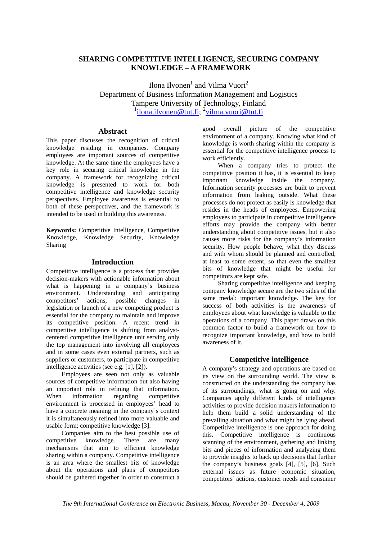### **SHARING COMPETITIVE INTELLIGENCE, SECURING COMPANY KNOWLEDGE – A FRAMEWORK**

Ilona Ilvonen<sup>1</sup> and Vilma Vuori<sup>2</sup> Department of Business Information Management and Logistics Tampere University of Technology, Finland <sup>1</sup>ilona.ilvonen@tut.fi; <sup>2</sup>vilma.vuori@tut.fi

#### **Abstract**

This paper discusses the recognition of critical knowledge residing in companies. Company employees are important sources of competitive knowledge. At the same time the employees have a key role in securing critical knowledge in the company. A framework for recognizing critical knowledge is presented to work for both competitive intelligence and knowledge security perspectives. Employee awareness is essential to both of these perspectives, and the framework is intended to be used in building this awareness.

**Keywords:** Competitive Intelligence, Competitive Knowledge, Knowledge Security, Knowledge Sharing

#### **Introduction**

Competitive intelligence is a process that provides decision-makers with actionable information about what is happening in a company's business environment. Understanding and anticipating competitors' actions, possible changes in legislation or launch of a new competing product is essential for the company to maintain and improve its competitive position. A recent trend in competitive intelligence is shifting from analystcentered competitive intelligence unit serving only the top management into involving all employees and in some cases even external partners, such as suppliers or customers, to participate in competitive intelligence activities (see e.g. [1], [2]).

Employees are seen not only as valuable sources of competitive information but also having an important role in refining that information.<br>When information regarding competitive When information regarding competitive environment is processed in employees' head to have a concrete meaning in the company's context it is simultaneously refined into more valuable and usable form; competitive knowledge [3].

Companies aim to the best possible use of competitive knowledge. There are many mechanisms that aim to efficient knowledge sharing within a company. Competitive intelligence is an area where the smallest bits of knowledge about the operations and plans of competitors should be gathered together in order to construct a good overall picture of the competitive environment of a company. Knowing what kind of knowledge is worth sharing within the company is essential for the competitive intelligence process to work efficiently.

When a company tries to protect the competitive position it has, it is essential to keep important knowledge inside the company. Information security processes are built to prevent information from leaking outside. What these processes do not protect as easily is knowledge that resides in the heads of employees. Empowering employees to participate in competitive intelligence efforts may provide the company with better understanding about competitive issues, but it also causes more risks for the company's information security. How people behave, what they discuss and with whom should be planned and controlled, at least to some extent, so that even the smallest bits of knowledge that might be useful for competitors are kept safe.

Sharing competitive intelligence and keeping company knowledge secure are the two sides of the same medal: important knowledge. The key for success of both activities is the awareness of employees about what knowledge is valuable to the operations of a company. This paper draws on this common factor to build a framework on how to recognize important knowledge, and how to build awareness of it.

#### **Competitive intelligence**

A company's strategy and operations are based on its view on the surrounding world. The view is constructed on the understanding the company has of its surroundings, what is going on and why. Companies apply different kinds of intelligence activities to provide decision makers information to help them build a solid understanding of the prevailing situation and what might be lying ahead. Competitive intelligence is one approach for doing this. Competitive intelligence is continuous scanning of the environment, gathering and linking bits and pieces of information and analyzing them to provide insights to back up decisions that further the company's business goals [4], [5], [6]. Such external issues as future economic situation, competitors' actions, customer needs and consumer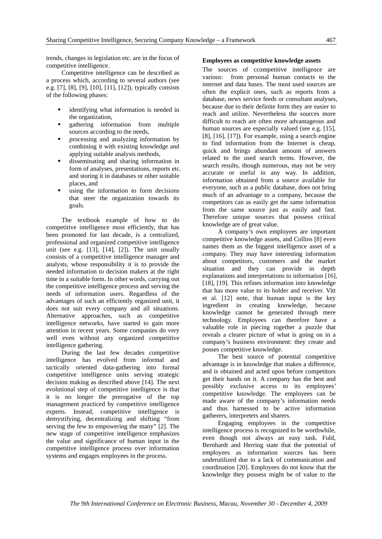trends, changes in legislation etc. are in the focus of competitive intelligence.

Competitive intelligence can be described as a process which, according to several authors (see e.g. [7], [8], [9], [10], [11], [12]), typically consists of the following phases:

- identifying what information is needed in the organization,
- gathering information from multiple sources according to the needs,
- processing and analyzing information by combining it with existing knowledge and applying suitable analysis methods,
- disseminating and sharing information in form of analyses, presentations, reports etc. and storing it in databases or other suitable places, and
- using the information to form decisions that steer the organization towards its goals.

The textbook example of how to do competitive intelligence most efficiently, that has been promoted for last decade, is a centralized, professional and organized competitive intelligence unit (see e.g. [13], [14], [2]). The unit usually consists of a competitive intelligence manager and analysts, whose responsibility it is to provide the needed information to decision makers at the right time in a suitable form. In other words, carrying out the competitive intelligence process and serving the needs of information users. Regardless of the advantages of such an efficiently organized unit, it does not suit every company and all situations. Alternative approaches, such as competitive intelligence networks, have started to gain more attention in recent years. Some companies do very well even without any organized competitive intelligence gathering.

During the last few decades competitive intelligence has evolved from informal and tactically oriented data-gathering into formal competitive intelligence units serving strategic decision making as described above [14]. The next evolutional step of competitive intelligence is that it is no longer the prerogative of the top management practiced by competitive intelligence experts. Instead, competitive intelligence is demystifying, decentralizing and shifting "from serving the few to empowering the many" [2]. The new stage of competitive intelligence emphasizes the value and significance of human input in the competitive intelligence process over information systems and engages employees in the process.

#### **Employees as competitive knowledge assets**

The sources of ccompetitive intelligence are various: from personal human contacts to the internet and data bases. The most used sources are often the explicit ones, such as reports from a database, news service feeds or consultant analyses, because due to their definite form they are easier to reach and utilize. Nevertheless the sources more difficult to reach are often more advantageous and human sources are especially valued (see e.g. [15], [8], [16], [17]). For example, using a search engine to find information from the Internet is cheap, quick and brings abundant amount of answers related to the used search terms. However, the search results, though numerous, may not be very accurate or useful in any way. In addition, information obtained from a source available for everyone, such as a public database, does not bring much of an advantage to a company, because the competitors can as easily get the same information from the same source just as easily and fast. Therefore unique sources that possess critical knowledge are of great value.

A company's own employees are important competitive knowledge assets, and Collins [8] even names them as the biggest intelligence asset of a company. They may have interesting information about competitors, customers and the market situation and they can provide in depth explanations and interpretations to information [16], [18], [19]. This refines information into knowledge that has more value to its holder and receiver. Vitt et al. [12] note, that human input is the key ingredient in creating knowledge, because knowledge cannot be generated through mere technology. Employees can therefore have a valuable role in piecing together a puzzle that reveals a clearer picture of what is going on in a company's business environment: they create and posses competitive knowledge.

The best source of potential competitive advantage is in knowledge that makes a difference, and is obtained and acted upon before competitors get their hands on it. A company has the best and possibly exclusive access to its employees' competitive knowledge. The employees can be made aware of the company's information needs and thus harnessed to be active information gatherers, interpreters and sharers.

Engaging employees in the competitive intelligence process is recognized to be worthwhile, even though not always an easy task. Fuld, Bernhardt and Herring state that the potential of employees as information sources has been underutilized due to a lack of communication and coordination [20]. Employees do not know that the knowledge they possess might be of value to the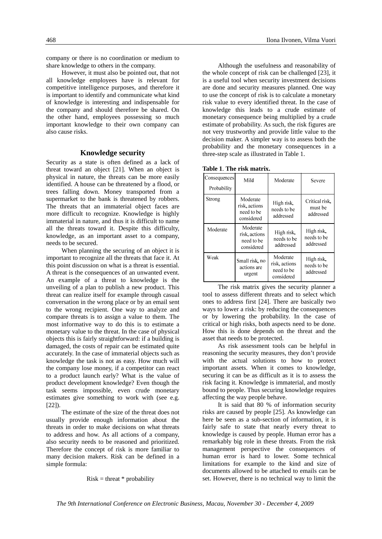company or there is no coordination or medium to share knowledge to others in the company.

However, it must also be pointed out, that not all knowledge employees have is relevant for competitive intelligence purposes, and therefore it is important to identify and communicate what kind of knowledge is interesting and indispensable for the company and should therefore be shared. On the other hand, employees possessing so much important knowledge to their own company can also cause risks.

#### **Knowledge security**

Security as a state is often defined as a lack of threat toward an object [21]. When an object is physical in nature, the threats can be more easily identified. A house can be threatened by a flood, or trees falling down. Money transported from a supermarket to the bank is threatened by robbers. The threats that an immaterial object faces are more difficult to recognize. Knowledge is highly immaterial in nature, and thus it is difficult to name all the threats toward it. Despite this difficulty, knowledge, as an important asset to a company, needs to be secured.

When planning the securing of an object it is important to recognize all the threats that face it. At this point discussion on what is a threat is essential. A threat is the consequences of an unwanted event. An example of a threat to knowledge is the unveiling of a plan to publish a new product. This threat can realize itself for example through casual conversation in the wrong place or by an email sent to the wrong recipient. One way to analyze and compare threats is to assign a value to them. The most informative way to do this is to estimate a monetary value to the threat. In the case of physical objects this is fairly straightforward: if a building is damaged, the costs of repair can be estimated quite accurately. In the case of immaterial objects such as knowledge the task is not as easy. How much will the company lose money, if a competitor can react to a product launch early? What is the value of product development knowledge? Even though the task seems impossible, even crude monetary estimates give something to work with (see e.g.  $[22]$ ).

The estimate of the size of the threat does not usually provide enough information about the threats in order to make decisions on what threats to address and how. As all actions of a company, also security needs to be reasoned and prioritized. Therefore the concept of risk is more familiar to many decision makers. Risk can be defined in a simple formula:

 $Risk = threat * probability$ 

Although the usefulness and reasonability of the whole concept of risk can be challenged [23], it is a useful tool when security investment decisions are done and security measures planned. One way to use the concept of risk is to calculate a monetary risk value to every identified threat. In the case of knowledge this leads to a crude estimate of monetary consequence being multiplied by a crude estimate of probability. As such, the risk figures are not very trustworthy and provide little value to the decision maker. A simpler way is to assess both the probability and the monetary consequences in a three-step scale as illustrated in Table 1.

| Consequences<br>Probability | Mild                                                  | Moderate                                              | Severe                                 |
|-----------------------------|-------------------------------------------------------|-------------------------------------------------------|----------------------------------------|
| Strong                      | Moderate<br>risk, actions<br>need to be<br>considered | High risk,<br>needs to be<br>addressed                | Critical risk,<br>must be<br>addressed |
| Moderate                    | Moderate<br>risk, actions<br>need to be<br>considered | High risk,<br>needs to be<br>addressed                | High risk,<br>needs to be<br>addressed |
| Weak                        | Small risk, no<br>actions are<br>urgent               | Moderate<br>risk, actions<br>need to be<br>considered | High risk,<br>needs to be<br>addressed |

**Table 1**. **The risk matrix.** 

The risk matrix gives the security planner a tool to assess different threats and to select which ones to address first [24]. There are basically two ways to lower a risk: by reducing the consequences or by lowering the probability. In the case of critical or high risks, both aspects need to be done. How this is done depends on the threat and the asset that needs to be protected.

As risk assessment tools can be helpful in reasoning the security measures, they don't provide with the actual solutions to how to protect important assets. When it comes to knowledge, securing it can be as difficult as it is to assess the risk facing it. Knowledge is immaterial, and mostly bound to people. Thus securing knowledge requires affecting the way people behave.

It is said that 80 % of information security risks are caused by people [25]. As knowledge can here be seen as a sub-section of information, it is fairly safe to state that nearly every threat to knowledge is caused by people. Human error has a remarkably big role in these threats. From the risk management perspective the consequences of human error is hard to lower. Some technical limitations for example to the kind and size of documents allowed to be attached to emails can be set. However, there is no technical way to limit the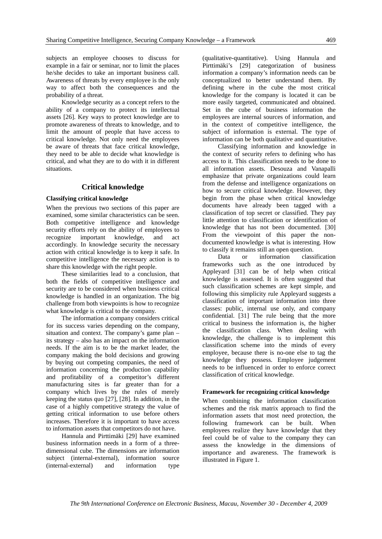subjects an employee chooses to discuss for example in a fair or seminar, nor to limit the places he/she decides to take an important business call. Awareness of threats by every employee is the only way to affect both the consequences and the probability of a threat.

Knowledge security as a concept refers to the ability of a company to protect its intellectual assets [26]. Key ways to protect knowledge are to promote awareness of threats to knowledge, and to limit the amount of people that have access to critical knowledge. Not only need the employees be aware of threats that face critical knowledge, they need to be able to decide what knowledge is critical, and what they are to do with it in different situations.

#### **Critical knowledge**

#### **Classifying critical knowledge**

When the previous two sections of this paper are examined, some similar characteristics can be seen. Both competitive intelligence and knowledge security efforts rely on the ability of employees to recognize important knowledge, and act accordingly. In knowledge security the necessary action with critical knowledge is to keep it safe. In competitive intelligence the necessary action is to share this knowledge with the right people.

These similarities lead to a conclusion, that both the fields of competitive intelligence and security are to be considered when business critical knowledge is handled in an organization. The big challenge from both viewpoints is how to recognize what knowledge is critical to the company.

The information a company considers critical for its success varies depending on the company, situation and context. The company's game plan – its strategy – also has an impact on the information needs. If the aim is to be the market leader, the company making the bold decisions and growing by buying out competing companies, the need of information concerning the production capability and profitability of a competitor's different manufacturing sites is far greater than for a company which lives by the rules of merely keeping the status quo [27], [28]. In addition, in the case of a highly competitive strategy the value of getting critical information to use before others increases. Therefore it is important to have access to information assets that competitors do not have.

Hannula and Pirttimäki [29] have examined business information needs in a form of a threedimensional cube. The dimensions are information subject (internal-external), information source (internal-external) and information type

(qualitative-quantitative). Using Hannula and Pirttimäki's [29] categorization of business information a company's information needs can be conceptualized to better understand them. By defining where in the cube the most critical knowledge for the company is located it can be more easily targeted, communicated and obtained. Set in the cube of business information the employees are internal sources of information, and in the context of competitive intelligence, the subject of information is external. The type of information can be both qualitative and quantitative.

Classifying information and knowledge in the context of security refers to defining who has access to it. This classification needs to be done to all information assets. Desouza and Vanapalli emphasize that private organizations could learn from the defense and intelligence organizations on how to secure critical knowledge. However, they begin from the phase when critical knowledge documents have already been tagged with a classification of top secret or classified. They pay little attention to classification or identification of knowledge that has not been documented. [30] From the viewpoint of this paper the nondocumented knowledge is what is interesting. How to classify it remains still an open question.

Data or information classification frameworks such as the one introduced by Appleyard [31] can be of help when critical knowledge is assessed. It is often suggested that such classification schemes are kept simple, and following this simplicity rule Appleyard suggests a classification of important information into three classes: public, internal use only, and company confidential. [31] The rule being that the more critical to business the information is, the higher the classification class. When dealing with knowledge, the challenge is to implement this classification scheme into the minds of every employee, because there is no-one else to tag the knowledge they possess. Employee judgement needs to be influenced in order to enforce correct classification of critical knowledge.

#### **Framework for recognizing critical knowledge**

When combining the information classification schemes and the risk matrix approach to find the information assets that most need protection, the following framework can be built. When employees realize they have knowledge that they feel could be of value to the company they can assess the knowledge in the dimensions of importance and awareness. The framework is illustrated in Figure 1.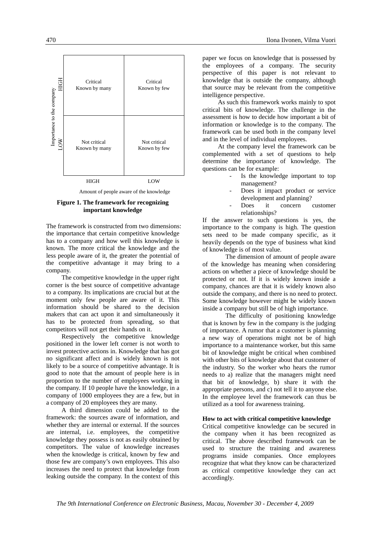

Amount of people aware of the knowledge

#### **Figure 1. The framework for recognizing important knowledge**

The framework is constructed from two dimensions: the importance that certain competitive knowledge has to a company and how well this knowledge is known. The more critical the knowledge and the less people aware of it, the greater the potential of the competitive advantage it may bring to a company.

The competitive knowledge in the upper right corner is the best source of competitive advantage to a company. Its implications are crucial but at the moment only few people are aware of it. This information should be shared to the decision makers that can act upon it and simultaneously it has to be protected from spreading, so that competitors will not get their hands on it.

Respectively the competitive knowledge positioned in the lower left corner is not worth to invest protective actions in. Knowledge that has got no significant affect and is widely known is not likely to be a source of competitive advantage. It is good to note that the amount of people here is in proportion to the number of employees working in the company. If 10 people have the knowledge, in a company of 1000 employees they are a few, but in a company of 20 employees they are many.

A third dimension could be added to the framework: the sources aware of information, and whether they are internal or external. If the sources are internal, i.e. employees, the competitive knowledge they possess is not as easily obtained by competitors. The value of knowledge increases when the knowledge is critical, known by few and those few are company's own employees. This also increases the need to protect that knowledge from leaking outside the company. In the context of this

paper we focus on knowledge that is possessed by the employees of a company. The security perspective of this paper is not relevant to knowledge that is outside the company, although that source may be relevant from the competitive intelligence perspective.

As such this framework works mainly to spot critical bits of knowledge. The challenge in the assessment is how to decide how important a bit of information or knowledge is to the company. The framework can be used both in the company level and in the level of individual employees.

At the company level the framework can be complemented with a set of questions to help determine the importance of knowledge. The questions can be for example:

- Is the knowledge important to top management?
- Does it impact product or service development and planning?
- Does it concern customer relationships?

If the answer to such questions is yes, the importance to the company is high. The question sets need to be made company specific, as it heavily depends on the type of business what kind of knowledge is of most value.

 The dimension of amount of people aware of the knowledge has meaning when considering actions on whether a piece of knowledge should be protected or not. If it is widely known inside a company, chances are that it is widely known also outside the company, and there is no need to protect. Some knowledge however might be widely known inside a company but still be of high importance.

 The difficulty of positioning knowledge that is known by few in the company is the judging of importance. A rumor that a customer is planning a new way of operations might not be of high importance to a maintenance worker, but this same bit of knowledge might be critical when combined with other bits of knowledge about that customer of the industry. So the worker who hears the rumor needs to a) realize that the managers might need that bit of knowledge, b) share it with the appropriate persons, and c) not tell it to anyone else. In the employee level the framework can thus be utilized as a tool for awareness training.

#### **How to act with critical competitive knowledge**

Critical competitive knowledge can be secured in the company when it has been recognized as critical. The above described framework can be used to structure the training and awareness programs inside companies. Once employees recognize that what they know can be characterized as critical competitive knowledge they can act accordingly.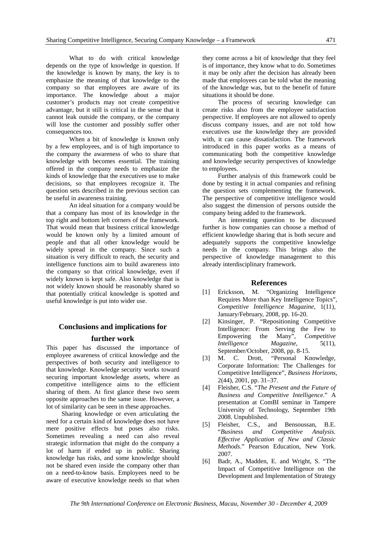What to do with critical knowledge depends on the type of knowledge in question. If the knowledge is known by many, the key is to emphasize the meaning of that knowledge to the company so that employees are aware of its importance. The knowledge about a major customer's products may not create competitive advantage, but it still is critical in the sense that it cannot leak outside the company, or the company will lose the customer and possibly suffer other consequences too.

 When a bit of knowledge is known only by a few employees, and is of high importance to the company the awareness of who to share that knowledge with becomes essential. The training offered in the company needs to emphasize the kinds of knowledge that the executives use to make decisions, so that employees recognize it. The question sets described in the previous section can be useful in awareness training.

 An ideal situation for a company would be that a company has most of its knowledge in the top right and bottom left corners of the framework. That would mean that business critical knowledge would be known only by a limited amount of people and that all other knowledge would be widely spread in the company. Since such a situation is very difficult to reach, the security and intelligence functions aim to build awareness into the company so that critical knowledge, even if widely known is kept safe. Also knowledge that is not widely known should be reasonably shared so that potentially critical knowledge is spotted and useful knowledge is put into wider use.

## **Conclusions and implications for further work**

This paper has discussed the importance of employee awareness of critical knowledge and the perspectives of both security and intelligence to that knowledge. Knowledge security works toward securing important knowledge assets, where as competitive intelligence aims to the efficient sharing of them. At first glance these two seem opposite approaches to the same issue. However, a lot of similarity can be seen in these approaches.

Sharing knowledge or even articulating the need for a certain kind of knowledge does not have mere positive effects but poses also risks. Sometimes revealing a need can also reveal strategic information that might do the company a lot of harm if ended up in public. Sharing knowledge has risks, and some knowledge should not be shared even inside the company other than on a need-to-know basis. Employees need to be aware of executive knowledge needs so that when

they come across a bit of knowledge that they feel is of importance, they know what to do. Sometimes it may be only after the decision has already been made that employees can be told what the meaning of the knowledge was, but to the benefit of future situations it should be done.

The process of securing knowledge can create risks also from the employee satisfaction perspective. If employees are not allowed to openly discuss company issues, and are not told how executives use the knowledge they are provided with, it can cause dissatisfaction. The framework introduced in this paper works as a means of communicating both the competitive knowledge and knowledge security perspectives of knowledge to employees.

Further analysis of this framework could be done by testing it in actual companies and refining the question sets complementing the framework. The perspective of competitive intelligence would also suggest the dimension of persons outside the company being added to the framework.

An interesting question to be discussed further is how companies can choose a method of efficient knowledge sharing that is both secure and adequately supports the competitive knowledge needs in the company. This brings also the perspective of knowledge management to this already interdisciplinary framework.

#### **References**

- [1] Ericksson, M. "Organizing Intelligence Requires More than Key Intelligence Topics", *Competitive Intelligence Magazine*, 1(11), January/February, 2008, pp. 16-20.
- [2] Kinsinger, P. "Repositioning Competitive Intelligence: From Serving the Few to Empowering the Many", *Competitive Intelligence Magazine*, 5(11), September/October, 2008, pp. 8-15.
- [3] M. C. Drott, "Personal Knowledge, Corporate Information: The Challenges for Competitive Intelligence", *Business Horizons*, 2(44), 2001, pp. 31–37.
- [4] Fleisher, C.S. "*The Present and the Future of Business and Competitive Intelligence*." A presentation at ComBI seminar in Tampere University of Technology, September 19th 2008. Unpublished.
- [5] Fleisher, C.S., and Bensoussan, B.E. "*Business and Competitive Analysis. Effective Application of New and Classic Methods*." Pearson Education, New York. 2007.
- [6] Badr, A., Madden, E. and Wright, S. "The Impact of Competitive Intelligence on the Development and Implementation of Strategy